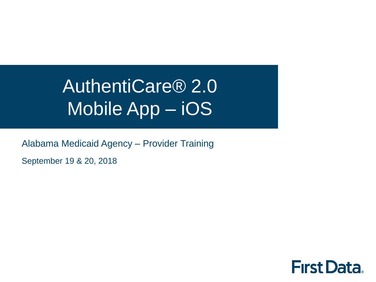# AuthentiCare® 2.0 Mobile App – iOS

Alabama Medicaid Agency – Provider Training

September 19 & 20, 2018

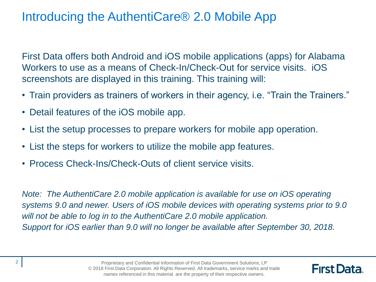#### Introducing the AuthentiCare® 2.0 Mobile App

First Data offers both Android and iOS mobile applications (apps) for Alabama Workers to use as a means of Check-In/Check-Out for service visits. iOS screenshots are displayed in this training. This training will:

- Train providers as trainers of workers in their agency, i.e. "Train the Trainers."
- Detail features of the iOS mobile app.
- List the setup processes to prepare workers for mobile app operation.
- List the steps for workers to utilize the mobile app features.
- Process Check-Ins/Check-Outs of client service visits.

*Note: The AuthentiCare 2.0 mobile application is available for use on iOS operating systems 9.0 and newer. Users of iOS mobile devices with operating systems prior to 9.0 will not be able to log in to the AuthentiCare 2.0 mobile application. Support for iOS earlier than 9.0 will no longer be available after September 30, 2018.*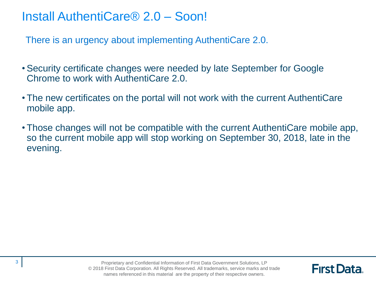#### Install AuthentiCare® 2.0 – Soon!

There is an urgency about implementing AuthentiCare 2.0.

- Security certificate changes were needed by late September for Google Chrome to work with AuthentiCare 2.0.
- The new certificates on the portal will not work with the current AuthentiCare mobile app.
- Those changes will not be compatible with the current AuthentiCare mobile app, so the current mobile app will stop working on September 30, 2018, late in the evening.

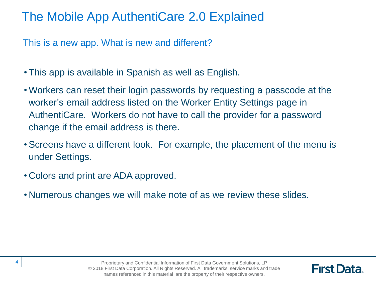## The Mobile App AuthentiCare 2.0 Explained

This is a new app. What is new and different?

- This app is available in Spanish as well as English.
- Workers can reset their login passwords by requesting a passcode at the worker's email address listed on the Worker Entity Settings page in AuthentiCare. Workers do not have to call the provider for a password change if the email address is there.
- Screens have a different look. For example, the placement of the menu is under Settings.
- Colors and print are ADA approved.
- Numerous changes we will make note of as we review these slides.

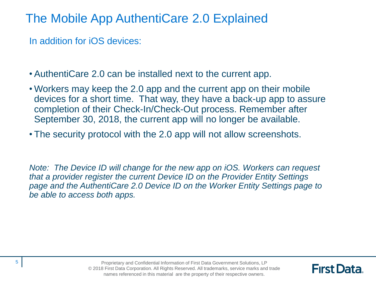The Mobile App AuthentiCare 2.0 Explained

In addition for iOS devices:

• AuthentiCare 2.0 can be installed next to the current app.

- Workers may keep the 2.0 app and the current app on their mobile devices for a short time. That way, they have a back-up app to assure completion of their Check-In/Check-Out process. Remember after September 30, 2018, the current app will no longer be available.
- The security protocol with the 2.0 app will not allow screenshots.

*Note: The Device ID will change for the new app on iOS. Workers can request that a provider register the current Device ID on the Provider Entity Settings page and the AuthentiCare 2.0 Device ID on the Worker Entity Settings page to be able to access both apps.* 

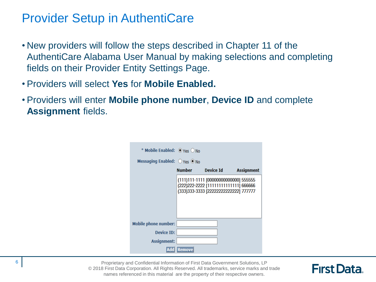#### Provider Setup in AuthentiCare

- New providers will follow the steps described in Chapter 11 of the AuthentiCare Alabama User Manual by making selections and completing fields on their Provider Entity Settings Page.
- Providers will select **Yes** for **Mobile Enabled.**
- Providers will enter **Mobile phone number**, **Device ID** and complete **Assignment** fields.

| * Mobile Enabled: $\circ$ Yes $\circ$ No |                                                                                                                          |           |                   |
|------------------------------------------|--------------------------------------------------------------------------------------------------------------------------|-----------|-------------------|
| Messaging Enabled: ○ Yes ● No            |                                                                                                                          |           |                   |
|                                          | <b>Number</b>                                                                                                            | Device Id | <b>Assignment</b> |
|                                          | (111)111-1111 [00000000000000] 555555<br>(222) 222-2222 [1111111111111] 666666<br>(333) 333-3333 [22222222222222] 777777 |           |                   |
| <b>Mobile phone number:</b>              |                                                                                                                          |           |                   |
| Device ID:                               |                                                                                                                          |           |                   |
| <b>Assignment:</b>                       |                                                                                                                          |           |                   |
| Add                                      | <b>Remove</b>                                                                                                            |           |                   |

Proprietary and Confidential Information of First Data Government Solutions, LP © 2018 First Data Corporation. All Rights Reserved. All trademarks, service marks and trade names referenced in this material are the property of their respective owners.

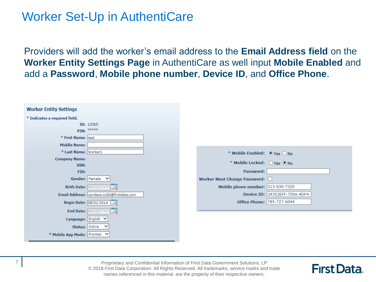#### Worker Set-Up in AuthentiCare

Providers will add the worker's email address to the **Email Address field** on the **Worker Entity Settings Page** in AuthentiCare as well input **Mobile Enabled** and add a **Password**, **Mobile phone number**, **Device ID**, and **Office Phone**.

| <b>Worker Entity Settings</b> |                                           |  |                                   |                                |
|-------------------------------|-------------------------------------------|--|-----------------------------------|--------------------------------|
| * Indicates a required field. |                                           |  |                                   |                                |
|                               | ID: 13365                                 |  |                                   |                                |
|                               | PIN: *****                                |  |                                   |                                |
| * First Name: test            |                                           |  |                                   |                                |
| <b>Middle Name:</b>           |                                           |  |                                   |                                |
| * Last Name: Worker1          |                                           |  | * Mobile Enabled: OYes ONo        |                                |
| <b>Company Name:</b><br>SSN:  |                                           |  | * Mobile Locked: OYes ONo         |                                |
| FID:                          |                                           |  | Password:                         |                                |
|                               | Gender: Female V                          |  | Worker Must Change Password:      |                                |
|                               | Birth Date: MM/DD/YVYY                    |  | Mobile phone number: 513-630-7320 |                                |
|                               | Email Address: candace.cobb@firstdata.com |  |                                   | Device ID: 397E2EFF-759A-4DF4- |
|                               | Begin Date: 08/01/2014                    |  | <b>Office Phone: 785-727-6044</b> |                                |
|                               | End Date: MM/DD/YYYY                      |  |                                   |                                |
|                               | Language: English V                       |  |                                   |                                |
| Status: Active                | $\checkmark$                              |  |                                   |                                |
| * Mobile App Mode: Frontier V |                                           |  |                                   |                                |

Proprietary and Confidential Information of First Data Government Solutions, LP © 2018 First Data Corporation. All Rights Reserved. All trademarks, service marks and trade names referenced in this material are the property of their respective owners.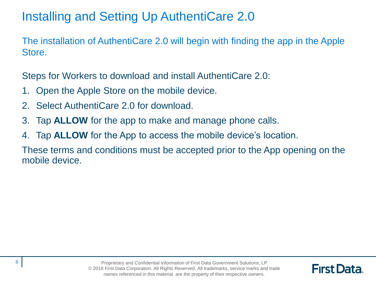## Installing and Setting Up AuthentiCare 2.0

The installation of AuthentiCare 2.0 will begin with finding the app in the Apple Store.

Steps for Workers to download and install AuthentiCare 2.0:

- 1. Open the Apple Store on the mobile device.
- 2. Select AuthentiCare 2.0 for download.
- 3. Tap **ALLOW** for the app to make and manage phone calls.
- 4. Tap **ALLOW** for the App to access the mobile device's location.

These terms and conditions must be accepted prior to the App opening on the mobile device.

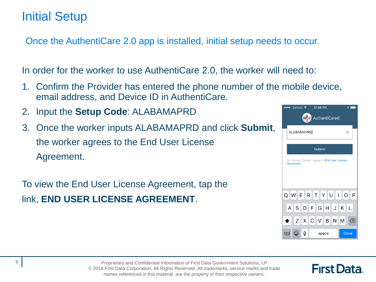#### Initial Setup

Once the AuthentiCare 2.0 app is installed, initial setup needs to occur.

In order for the worker to use AuthentiCare 2.0, the worker will need to:

- 1. Confirm the Provider has entered the phone number of the mobile device, email address, and Device ID in AuthentiCare.
- 2. Input the **Setup Code**: ALABAMAPRD
- 3. Once the worker inputs ALABAMAPRD and click **Submit**, the worker agrees to the End User License Agreement.

To view the End User License Agreement, tap the link, **END USER LICENSE AGREEMENT**.

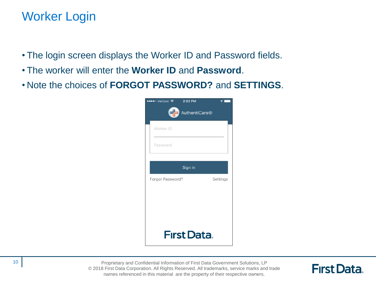#### Worker Login

- The login screen displays the Worker ID and Password fields.
- The worker will enter the **Worker ID** and **Password**.
- Note the choices of **FORGOT PASSWORD?** and **SETTINGS**.

| ●●●●○ Verizon ক<br>2:02 PM<br>E<br>AuthentiCare <sup>®</sup> |          |  |  |  |  |  |  |
|--------------------------------------------------------------|----------|--|--|--|--|--|--|
| Worker ID                                                    |          |  |  |  |  |  |  |
| Password                                                     |          |  |  |  |  |  |  |
| Sign In                                                      |          |  |  |  |  |  |  |
| Forgot Password?                                             | Settings |  |  |  |  |  |  |
|                                                              |          |  |  |  |  |  |  |
|                                                              |          |  |  |  |  |  |  |
| <b>First Data</b>                                            |          |  |  |  |  |  |  |

Proprietary and Confidential Information of First Data Government Solutions, LP © 2018 First Data Corporation. All Rights Reserved. All trademarks, service marks and trade names referenced in this material are the property of their respective owners.

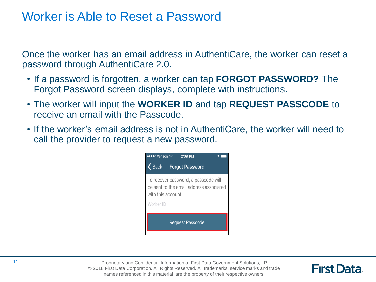#### Worker is Able to Reset a Password

Once the worker has an email address in AuthentiCare, the worker can reset a password through AuthentiCare 2.0.

- If a password is forgotten, a worker can tap **FORGOT PASSWORD?** The Forgot Password screen displays, complete with instructions.
- The worker will input the **WORKER ID** and tap **REQUEST PASSCODE** to receive an email with the Passcode.
- If the worker's email address is not in AuthentiCare, the worker will need to call the provider to request a new password.



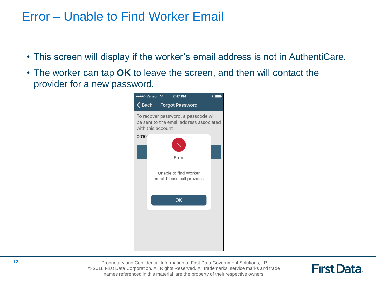#### Error – Unable to Find Worker Email

- This screen will display if the worker's email address is not in AuthentiCare.
- The worker can tap **OK** to leave the screen, and then will contact the provider for a new password.



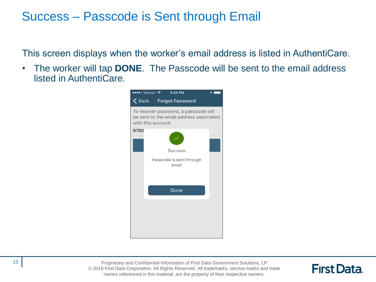#### Success – Passcode is Sent through Email

This screen displays when the worker's email address is listed in AuthentiCare.

• The worker will tap **DONE**. The Passcode will be sent to the email address listed in AuthentiCare.



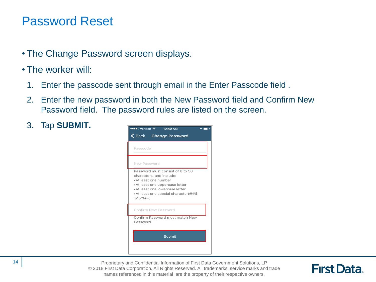#### Password Reset

- The Change Password screen displays.
- The worker will:
	- 1. Enter the passcode sent through email in the Enter Passcode field .
	- 2. Enter the new password in both the New Password field and Confirm New Password field. The password rules are listed on the screen.
	- 3. Tap **SUBMIT.**



Proprietary and Confidential Information of First Data Government Solutions, LP © 2018 First Data Corporation. All Rights Reserved. All trademarks, service marks and trade names referenced in this material are the property of their respective owners.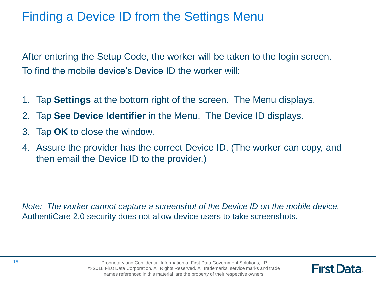#### Finding a Device ID from the Settings Menu

After entering the Setup Code, the worker will be taken to the login screen. To find the mobile device's Device ID the worker will:

- 1. Tap **Settings** at the bottom right of the screen. The Menu displays.
- 2. Tap **See Device Identifier** in the Menu. The Device ID displays.
- 3. Tap **OK** to close the window.
- 4. Assure the provider has the correct Device ID. (The worker can copy, and then email the Device ID to the provider.)

*Note: The worker cannot capture a screenshot of the Device ID on the mobile device.*  AuthentiCare 2.0 security does not allow device users to take screenshots.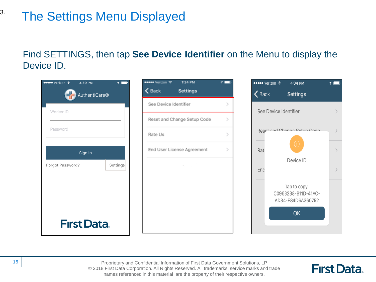## The Settings Menu Displayed

#### Find SETTINGS, then tap **See Device Identifier** on the Menu to display the Device ID.



Proprietary and Confidential Information of First Data Government Solutions, LP © 2018 First Data Corporation. All Rights Reserved. All trademarks, service marks and trade names referenced in this material are the property of their respective owners.

**First Data.** 

3.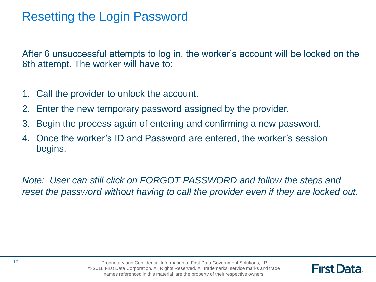#### Resetting the Login Password

After 6 unsuccessful attempts to log in, the worker's account will be locked on the 6th attempt. The worker will have to:

- 1. Call the provider to unlock the account.
- 2. Enter the new temporary password assigned by the provider.
- 3. Begin the process again of entering and confirming a new password.
- 4. Once the worker's ID and Password are entered, the worker's session begins.

*Note: User can still click on FORGOT PASSWORD and follow the steps and reset the password without having to call the provider even if they are locked out.*

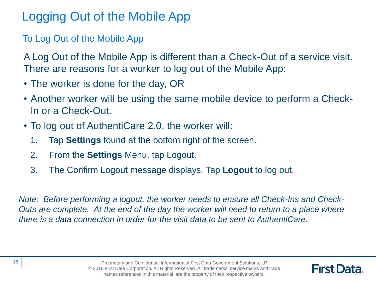## Logging Out of the Mobile App

To Log Out of the Mobile App

A Log Out of the Mobile App is different than a Check-Out of a service visit. There are reasons for a worker to log out of the Mobile App:

- The worker is done for the day, OR
- Another worker will be using the same mobile device to perform a Check-In or a Check-Out.
- To log out of AuthentiCare 2.0, the worker will:
	- 1. Tap **Settings** found at the bottom right of the screen.
	- 2. From the **Settings** Menu, tap Logout.
	- 3. The Confirm Logout message displays. Tap **Logout** to log out.

*Note: Before performing a logout, the worker needs to ensure all Check-Ins and Check-Outs are complete. At the end of the day the worker will need to return to a place where there is a data connection in order for the visit data to be sent to AuthentiCare.*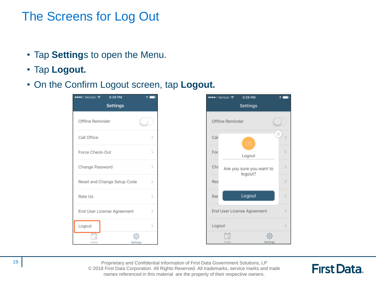#### The Screens for Log Out

- Tap **Setting**s to open the Menu.
- Tap **Logout.**
- On the Confirm Logout screen, tap **Logout.**



Proprietary and Confidential Information of First Data Government Solutions, LP © 2018 First Data Corporation. All Rights Reserved. All trademarks, service marks and trade names referenced in this material are the property of their respective owners.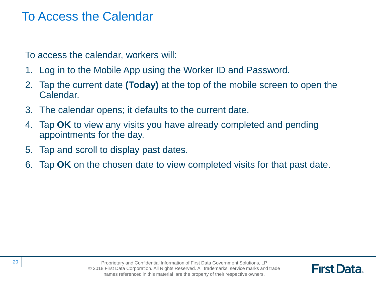#### To Access the Calendar

To access the calendar, workers will:

- 1. Log in to the Mobile App using the Worker ID and Password.
- 2. Tap the current date **(Today)** at the top of the mobile screen to open the Calendar.
- 3. The calendar opens; it defaults to the current date.
- 4. Tap **OK** to view any visits you have already completed and pending appointments for the day.
- 5. Tap and scroll to display past dates.
- 6. Tap **OK** on the chosen date to view completed visits for that past date.

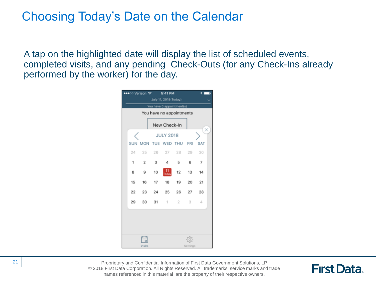#### Choosing Today's Date on the Calendar

A tap on the highlighted date will display the list of scheduled events, completed visits, and any pending Check-Outs (for any Check-Ins already performed by the worker) for the day.



Proprietary and Confidential Information of First Data Government Solutions, LP © 2018 First Data Corporation. All Rights Reserved. All trademarks, service marks and trade names referenced in this material are the property of their respective owners.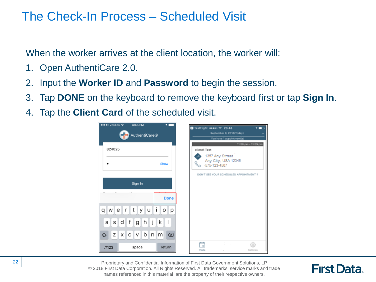#### The Check-In Process – Scheduled Visit

When the worker arrives at the client location, the worker will:

- 1. Open AuthentiCare 2.0.
- 2. Input the **Worker ID** and **Password** to begin the session.
- 3. Tap **DONE** on the keyboard to remove the keyboard first or tap **Sign In**.
- 4. Tap the **Client Card** of the scheduled visit.



Proprietary and Confidential Information of First Data Government Solutions, LP © 2018 First Data Corporation. All Rights Reserved. All trademarks, service marks and trade names referenced in this material are the property of their respective owners.

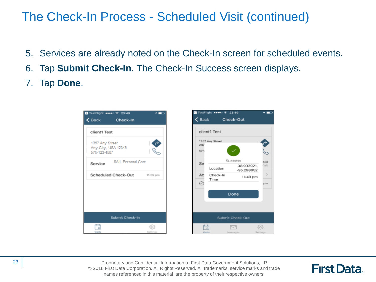#### The Check-In Process - Scheduled Visit (continued)

- 5. Services are already noted on the Check-In screen for scheduled events.
- 6. Tap **Submit Check-In**. The Check-In Success screen displays.
- 7. Tap **Done**.



Proprietary and Confidential Information of First Data Government Solutions, LP © 2018 First Data Corporation. All Rights Reserved. All trademarks, service marks and trade names referenced in this material are the property of their respective owners.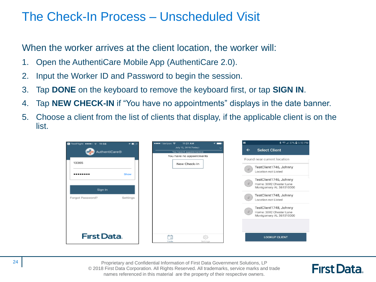#### The Check-In Process – Unscheduled Visit

When the worker arrives at the client location, the worker will:

- 1. Open the AuthentiCare Mobile App (AuthentiCare 2.0).
- 2. Input the Worker ID and Password to begin the session.
- 3. Tap **DONE** on the keyboard to remove the keyboard first, or tap **SIGN IN**.
- 4. Tap **NEW CHECK-IN** if "You have no appointments" displays in the date banner.
- 5. Choose a client from the list of clients that display, if the applicable client is on the list.



Proprietary and Confidential Information of First Data Government Solutions, LP © 2018 First Data Corporation. All Rights Reserved. All trademarks, service marks and trade names referenced in this material are the property of their respective owners.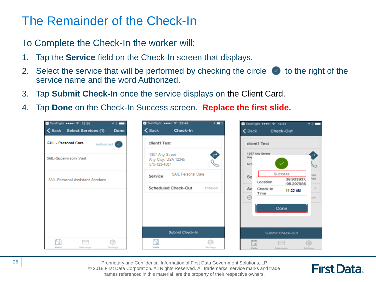#### The Remainder of the Check-In

To Complete the Check-In the worker will:

- 1. Tap the **Service** field on the Check-In screen that displays.
- 2. Select the service that will be performed by checking the circle  $\bullet\bullet\bullet$  to the right of the service name and the word Authorized.
- 3. Tap **Submit Check-In** once the service displays on the Client Card.
- 4. Tap **Done** on the Check-In Success screen. **Replace the first slide.**



Proprietary and Confidential Information of First Data Government Solutions, LP © 2018 First Data Corporation. All Rights Reserved. All trademarks, service marks and trade names referenced in this material are the property of their respective owners.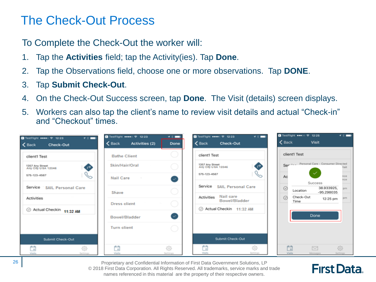#### The Check-Out Process

To Complete the Check-Out the worker will:

- 1. Tap the **Activities** field; tap the Activity(ies). Tap **Done**.
- 2. Tap the Observations field, choose one or more observations. Tap **DONE**.
- 3. Tap **Submit Check-Out**.
- 4. On the Check-Out Success screen, tap **Done**. The Visit (details) screen displays.
- 5. Workers can also tap the client's name to review visit details and actual "Check-in" and "Checkout" times.



Proprietary and Confidential Information of First Data Government Solutions, LP © 2018 First Data Corporation. All Rights Reserved. All trademarks, service marks and trade names referenced in this material are the property of their respective owners.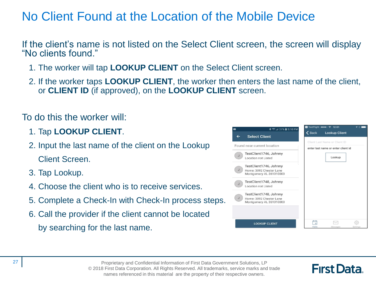## No Client Found at the Location of the Mobile Device

If the client's name is not listed on the Select Client screen, the screen will display "No clients found."

- 1. The worker will tap **LOOKUP CLIENT** on the Select Client screen.
- 2. If the worker taps **LOOKUP CLIENT**, the worker then enters the last name of the client, or **CLIENT ID** (if approved), on the **LOOKUP CLIENT** screen.

#### To do this the worker will:

- 1. Tap **LOOKUP CLIENT**.
- 2. Input the last name of the client on the Lookup Client Screen.
- 3. Tap Lookup.
- 4. Choose the client who is to receive services.
- 5. Complete a Check-In with Check-In process steps.
- 6. Call the provider if the client cannot be located by searching for the last name.



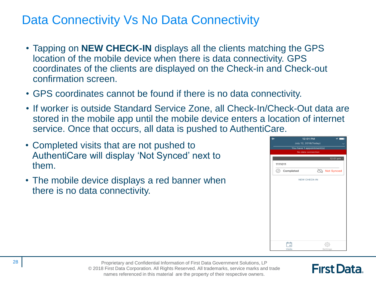#### Data Connectivity Vs No Data Connectivity

- Tapping on **NEW CHECK-IN** displays all the clients matching the GPS location of the mobile device when there is data connectivity. GPS coordinates of the clients are displayed on the Check-in and Check-out confirmation screen.
- GPS coordinates cannot be found if there is no data connectivity.
- If worker is outside Standard Service Zone, all Check-In/Check-Out data are stored in the mobile app until the mobile device enters a location of internet service. Once that occurs, all data is pushed to AuthentiCare.
- Completed visits that are not pushed to AuthentiCare will display 'Not Synced' next to them.
- The mobile device displays a red banner when there is no data connectivity.

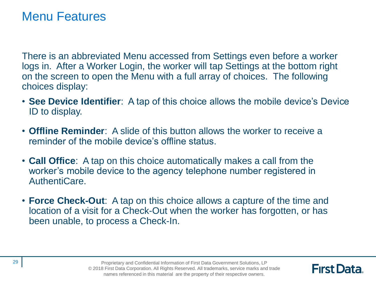#### Menu Features

There is an abbreviated Menu accessed from Settings even before a worker logs in. After a Worker Login, the worker will tap Settings at the bottom right on the screen to open the Menu with a full array of choices. The following choices display:

- **See Device Identifier**: A tap of this choice allows the mobile device's Device ID to display.
- **Offline Reminder**: A slide of this button allows the worker to receive a reminder of the mobile device's offline status.
- **Call Office**: A tap on this choice automatically makes a call from the worker's mobile device to the agency telephone number registered in AuthentiCare.
- **Force Check-Out**: A tap on this choice allows a capture of the time and location of a visit for a Check-Out when the worker has forgotten, or has been unable, to process a Check-In.

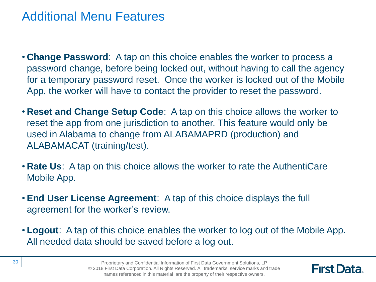#### Additional Menu Features

- **Change Password**: A tap on this choice enables the worker to process a password change, before being locked out, without having to call the agency for a temporary password reset. Once the worker is locked out of the Mobile App, the worker will have to contact the provider to reset the password.
- **Reset and Change Setup Code**: A tap on this choice allows the worker to reset the app from one jurisdiction to another. This feature would only be used in Alabama to change from ALABAMAPRD (production) and ALABAMACAT (training/test).
- **Rate Us**: A tap on this choice allows the worker to rate the AuthentiCare Mobile App.
- **End User License Agreement**: A tap of this choice displays the full agreement for the worker's review.
- **Logout**: A tap of this choice enables the worker to log out of the Mobile App. All needed data should be saved before a log out.

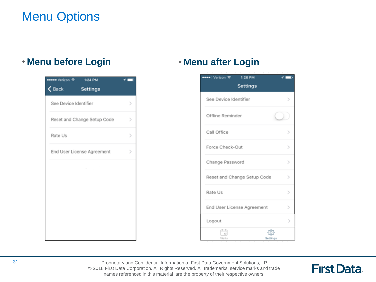## Menu Options

#### • **Menu before Login** • **Menu after Login**





Proprietary and Confidential Information of First Data Government Solutions, LP © 2018 First Data Corporation. All Rights Reserved. All trademarks, service marks and trade names referenced in this material are the property of their respective owners.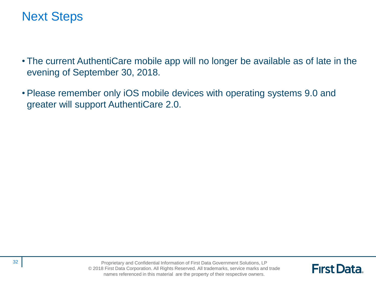#### Next Steps

- The current AuthentiCare mobile app will no longer be available as of late in the evening of September 30, 2018.
- Please remember only iOS mobile devices with operating systems 9.0 and greater will support AuthentiCare 2.0.

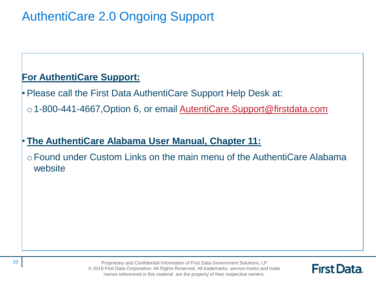## AuthentiCare 2.0 Ongoing Support

#### **For AuthentiCare Support:**

• Please call the First Data AuthentiCare Support Help Desk at:

o 1-800-441-4667, Option 6, or email **AutentiCare. Support@firstdata.com** 

#### • **The AuthentiCare Alabama User Manual, Chapter 11:**

oFound under Custom Links on the main menu of the AuthentiCare Alabama website

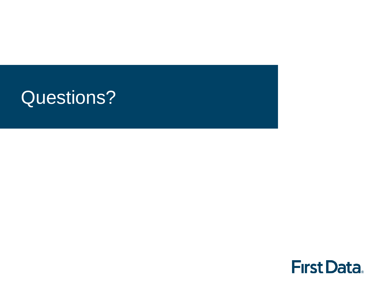# Questions?